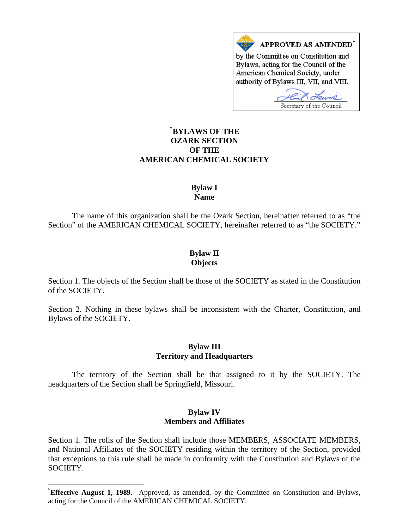

# **\* [BYLAWS OF THE](#page-0-0)  OZARK SECTION OF THE AMERICAN CHEMICAL SOCIETY**

## **Bylaw I Name**

The name of this organization shall be the Ozark Section, hereinafter referred to as "the Section" of the AMERICAN CHEMICAL SOCIETY, hereinafter referred to as "the SOCIETY."

# **Bylaw II Objects**

Section 1. The objects of the Section shall be those of the SOCIETY as stated in the Constitution of the SOCIETY.

Section 2. Nothing in these bylaws shall be inconsistent with the Charter, Constitution, and Bylaws of the SOCIETY.

### **Bylaw III Territory and Headquarters**

The territory of the Section shall be that assigned to it by the SOCIETY. The headquarters of the Section shall be Springfield, Missouri.

### **Bylaw IV Members and Affiliates**

Section 1. The rolls of the Section shall include those MEMBERS, ASSOCIATE MEMBERS, and National Affiliates of the SOCIETY residing within the territory of the Section, provided that exceptions to this rule shall be made in conformity with the Constitution and Bylaws of the SOCIETY.

 $\overline{a}$ 

<span id="page-0-0"></span><sup>\*</sup> **Effective August 1, 1989.** Approved, as amended, by the Committee on Constitution and Bylaws, acting for the Council of the AMERICAN CHEMICAL SOCIETY.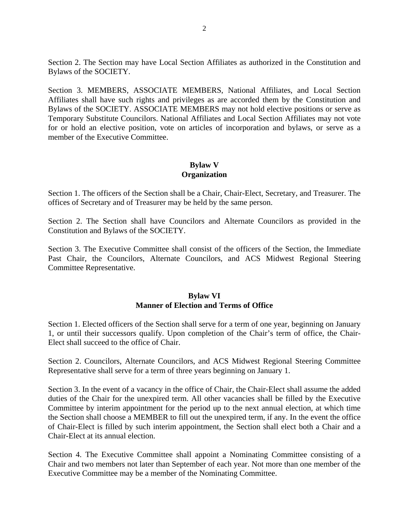Section 2. The Section may have Local Section Affiliates as authorized in the Constitution and Bylaws of the SOCIETY.

Section 3. MEMBERS, ASSOCIATE MEMBERS, National Affiliates, and Local Section Affiliates shall have such rights and privileges as are accorded them by the Constitution and Bylaws of the SOCIETY. ASSOCIATE MEMBERS may not hold elective positions or serve as Temporary Substitute Councilors. National Affiliates and Local Section Affiliates may not vote for or hold an elective position, vote on articles of incorporation and bylaws, or serve as a member of the Executive Committee.

## **Bylaw V Organization**

Section 1. The officers of the Section shall be a Chair, Chair-Elect, Secretary, and Treasurer. The offices of Secretary and of Treasurer may be held by the same person.

Section 2. The Section shall have Councilors and Alternate Councilors as provided in the Constitution and Bylaws of the SOCIETY.

Section 3. The Executive Committee shall consist of the officers of the Section, the Immediate Past Chair, the Councilors, Alternate Councilors, and ACS Midwest Regional Steering Committee Representative.

## **Bylaw VI Manner of Election and Terms of Office**

Section 1. Elected officers of the Section shall serve for a term of one year, beginning on January 1, or until their successors qualify. Upon completion of the Chair's term of office, the Chair-Elect shall succeed to the office of Chair.

Section 2. Councilors, Alternate Councilors, and ACS Midwest Regional Steering Committee Representative shall serve for a term of three years beginning on January 1.

Section 3. In the event of a vacancy in the office of Chair, the Chair-Elect shall assume the added duties of the Chair for the unexpired term. All other vacancies shall be filled by the Executive Committee by interim appointment for the period up to the next annual election, at which time the Section shall choose a MEMBER to fill out the unexpired term, if any. In the event the office of Chair-Elect is filled by such interim appointment, the Section shall elect both a Chair and a Chair-Elect at its annual election.

Section 4. The Executive Committee shall appoint a Nominating Committee consisting of a Chair and two members not later than September of each year. Not more than one member of the Executive Committee may be a member of the Nominating Committee.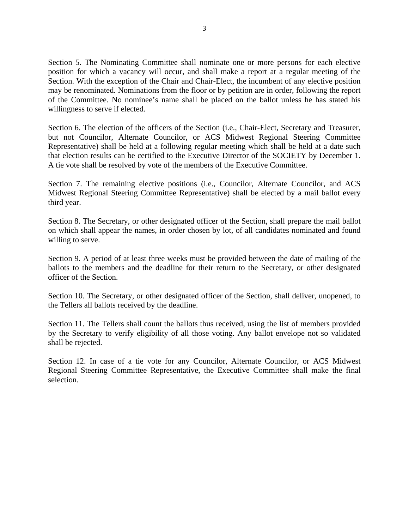Section 5. The Nominating Committee shall nominate one or more persons for each elective position for which a vacancy will occur, and shall make a report at a regular meeting of the Section. With the exception of the Chair and Chair-Elect, the incumbent of any elective position may be renominated. Nominations from the floor or by petition are in order, following the report of the Committee. No nominee's name shall be placed on the ballot unless he has stated his willingness to serve if elected.

Section 6. The election of the officers of the Section (i.e., Chair-Elect, Secretary and Treasurer, but not Councilor, Alternate Councilor, or ACS Midwest Regional Steering Committee Representative) shall be held at a following regular meeting which shall be held at a date such that election results can be certified to the Executive Director of the SOCIETY by December 1. A tie vote shall be resolved by vote of the members of the Executive Committee.

Section 7. The remaining elective positions (i.e., Councilor, Alternate Councilor, and ACS Midwest Regional Steering Committee Representative) shall be elected by a mail ballot every third year.

Section 8. The Secretary, or other designated officer of the Section, shall prepare the mail ballot on which shall appear the names, in order chosen by lot, of all candidates nominated and found willing to serve.

Section 9. A period of at least three weeks must be provided between the date of mailing of the ballots to the members and the deadline for their return to the Secretary, or other designated officer of the Section.

Section 10. The Secretary, or other designated officer of the Section, shall deliver, unopened, to the Tellers all ballots received by the deadline.

Section 11. The Tellers shall count the ballots thus received, using the list of members provided by the Secretary to verify eligibility of all those voting. Any ballot envelope not so validated shall be rejected.

Section 12. In case of a tie vote for any Councilor, Alternate Councilor, or ACS Midwest Regional Steering Committee Representative, the Executive Committee shall make the final selection.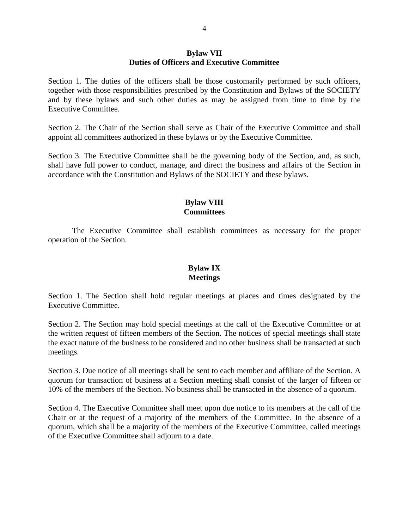#### **Bylaw VII Duties of Officers and Executive Committee**

Section 1. The duties of the officers shall be those customarily performed by such officers, together with those responsibilities prescribed by the Constitution and Bylaws of the SOCIETY and by these bylaws and such other duties as may be assigned from time to time by the Executive Committee.

Section 2. The Chair of the Section shall serve as Chair of the Executive Committee and shall appoint all committees authorized in these bylaws or by the Executive Committee.

Section 3. The Executive Committee shall be the governing body of the Section, and, as such, shall have full power to conduct, manage, and direct the business and affairs of the Section in accordance with the Constitution and Bylaws of the SOCIETY and these bylaws.

#### **Bylaw VIII Committees**

The Executive Committee shall establish committees as necessary for the proper operation of the Section.

# **Bylaw IX Meetings**

Section 1. The Section shall hold regular meetings at places and times designated by the Executive Committee.

Section 2. The Section may hold special meetings at the call of the Executive Committee or at the written request of fifteen members of the Section. The notices of special meetings shall state the exact nature of the business to be considered and no other business shall be transacted at such meetings.

Section 3. Due notice of all meetings shall be sent to each member and affiliate of the Section. A quorum for transaction of business at a Section meeting shall consist of the larger of fifteen or 10% of the members of the Section. No business shall be transacted in the absence of a quorum.

Section 4. The Executive Committee shall meet upon due notice to its members at the call of the Chair or at the request of a majority of the members of the Committee. In the absence of a quorum, which shall be a majority of the members of the Executive Committee, called meetings of the Executive Committee shall adjourn to a date.